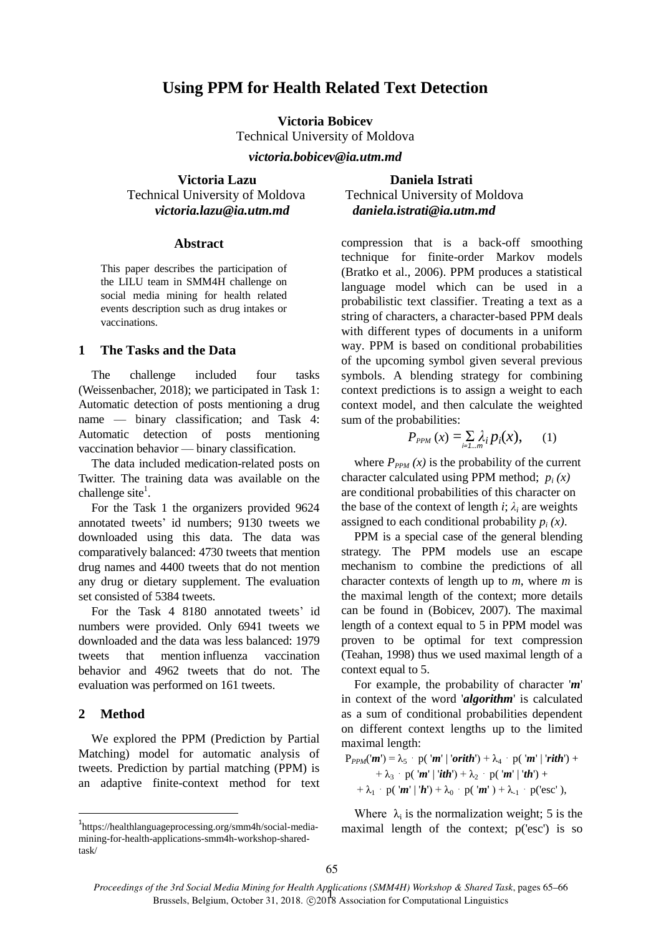# **Using PPM for Health Related Text Detection**

**Victoria Bobicev** Technical University of Moldova

*victoria.bobicev@ia.utm.md*

**Victoria Lazu Daniela Istrati** Technical University of Moldova Technical University of Moldova *victoria.lazu@ia.utm.md daniela.istrati@ia.utm.md*

#### **Abstract**

This paper describes the participation of the LILU team in SMM4H challenge on social media mining for health related events description such as drug intakes or vaccinations.

### **1 The Tasks and the Data**

The challenge included four tasks (Weissenbacher, 2018); we participated in Task 1: Automatic detection of posts mentioning a drug name — binary classification; and Task 4: Automatic detection of posts mentioning vaccination behavior — binary classification.

The data included medication-related posts on Twitter. The training data was available on the challenge site<sup>1</sup>.

For the Task 1 the organizers provided 9624 annotated tweets' id numbers; 9130 tweets we downloaded using this data. The data was comparatively balanced: 4730 tweets that mention drug names and 4400 tweets that do not mention any drug or dietary supplement. The evaluation set consisted of 5384 tweets.

For the Task 4 8180 annotated tweets' id numbers were provided. Only 6941 tweets we downloaded and the data was less balanced: 1979 tweets that mention influenza vaccination behavior and 4962 tweets that do not. The evaluation was performed on 161 tweets.

### **2 Method**

 $\overline{\phantom{a}}$ 

We explored the PPM (Prediction by Partial Matching) model for automatic analysis of tweets. Prediction by partial matching (PPM) is an adaptive finite-context method for text compression that is a back-off smoothing technique for finite-order Markov models (Bratko et al., 2006). PPM produces a statistical language model which can be used in a probabilistic text classifier. Treating a text as a string of characters, a character-based PPM deals with different types of documents in a uniform way. PPM is based on conditional probabilities of the upcoming symbol given several previous symbols. A blending strategy for combining context predictions is to assign a weight to each context model, and then calculate the weighted sum of the probabilities:

$$
P_{PPM}\left(x\right) = \sum_{i=1\ldots m} \lambda_i p_i(x),\qquad(1)
$$

where  $P_{PPM}(x)$  is the probability of the current character calculated using PPM method;  $p_i(x)$ are conditional probabilities of this character on the base of the context of length *i*;  $\lambda_i$  are weights assigned to each conditional probability  $p_i(x)$ .

PPM is a special case of the general blending strategy. The PPM models use an escape mechanism to combine the predictions of all character contexts of length up to *m*, where *m* is the maximal length of the context; more details can be found in (Bobicev, 2007). The maximal length of a context equal to 5 in PPM model was proven to be optimal for text compression (Teahan, 1998) thus we used maximal length of a context equal to 5.

For example, the probability of character '*m*' in context of the word '*algorithm*' is calculated as a sum of conditional probabilities dependent on different context lengths up to the limited maximal length:

$$
P_{PPM}(m') = \lambda_5 \cdot p('m' | 'orith') + \lambda_4 \cdot p('m' | 'rith') ++ \lambda_3 \cdot p('m' | 'ith') + \lambda_2 \cdot p('m' | 'th') ++ \lambda_1 \cdot p('m' | 'h') + \lambda_0 \cdot p('m') + \lambda_1 \cdot p('esc'),
$$

Where  $\lambda_i$  is the normalization weight; 5 is the maximal length of the context; p('esc') is so

<sup>1</sup> https://healthlanguageprocessing.org/smm4h/social-mediamining-for-health-applications-smm4h-workshop-sharedtask/